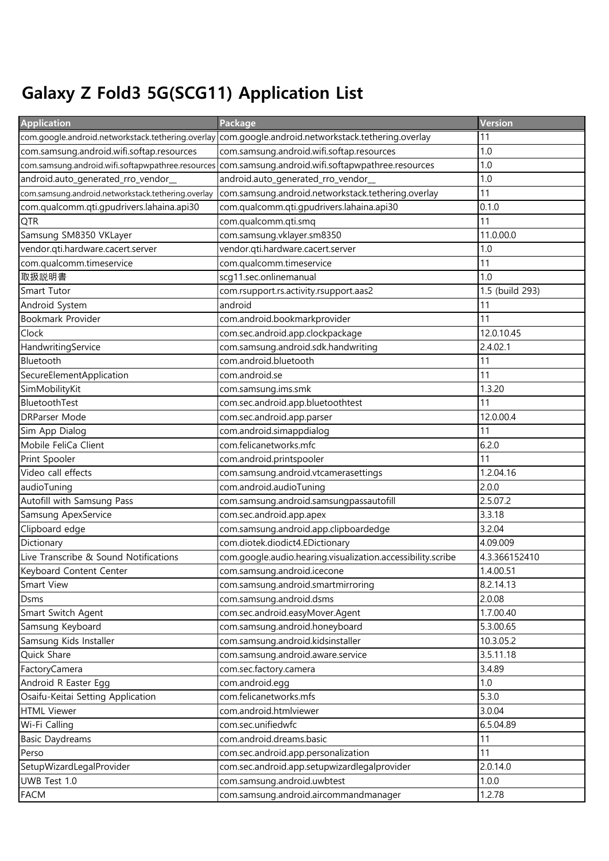## Galaxy Z Fold3 5G(SCG11) Application List

| <b>Application</b>                                 | Package                                                     | Version         |
|----------------------------------------------------|-------------------------------------------------------------|-----------------|
| com.google.android.networkstack.tethering.overlay  | com.google.android.networkstack.tethering.overlay           | 11              |
| com.samsung.android.wifi.softap.resources          | com.samsung.android.wifi.softap.resources                   | 1.0             |
| com.samsung.android.wifi.softapwpathree.resources  | com.samsung.android.wifi.softapwpathree.resources           | 1.0             |
| android.auto_generated_rro_vendor_                 | android.auto_generated_rro_vendor_                          | 1.0             |
| com.samsung.android.networkstack.tethering.overlay | com.samsung.android.networkstack.tethering.overlay          | 11              |
| com.qualcomm.qti.gpudrivers.lahaina.api30          | com.qualcomm.qti.gpudrivers.lahaina.api30                   | 0.1.0           |
| QTR                                                | com.qualcomm.qti.smq                                        | 11              |
| Samsung SM8350 VKLayer                             | com.samsung.vklayer.sm8350                                  | 11.0.00.0       |
| vendor.qti.hardware.cacert.server                  | vendor.qti.hardware.cacert.server                           | 1.0             |
| com.qualcomm.timeservice                           | com.qualcomm.timeservice                                    | 11              |
| 取扱説明書                                              | scg11.sec.onlinemanual                                      | 1.0             |
| Smart Tutor                                        | com.rsupport.rs.activity.rsupport.aas2                      | 1.5 (build 293) |
| Android System                                     | android                                                     | 11              |
| Bookmark Provider                                  | com.android.bookmarkprovider                                | 11              |
| Clock                                              | com.sec.android.app.clockpackage                            | 12.0.10.45      |
| HandwritingService                                 | com.samsung.android.sdk.handwriting                         | 2.4.02.1        |
| Bluetooth                                          | com.android.bluetooth                                       | 11              |
| SecureElementApplication                           | com.android.se                                              | 11              |
| SimMobilityKit                                     | com.samsung.ims.smk                                         | 1.3.20          |
| BluetoothTest                                      | com.sec.android.app.bluetoothtest                           | 11              |
| <b>DRParser Mode</b>                               | com.sec.android.app.parser                                  | 12.0.00.4       |
| Sim App Dialog                                     | com.android.simappdialog                                    | 11              |
| Mobile FeliCa Client                               | com.felicanetworks.mfc                                      | 6.2.0           |
| Print Spooler                                      | com.android.printspooler                                    | 11              |
| Video call effects                                 | com.samsung.android.vtcamerasettings                        | 1.2.04.16       |
| audioTuning                                        | com.android.audioTuning                                     | 2.0.0           |
| Autofill with Samsung Pass                         | com.samsung.android.samsungpassautofill                     | 2.5.07.2        |
| Samsung ApexService                                | com.sec.android.app.apex                                    | 3.3.18          |
| Clipboard edge                                     | com.samsung.android.app.clipboardedge                       | 3.2.04          |
| Dictionary                                         | com.diotek.diodict4.EDictionary                             | 4.09.009        |
| Live Transcribe & Sound Notifications              | com.google.audio.hearing.visualization.accessibility.scribe | 4.3.366152410   |
| Keyboard Content Center                            | com.samsung.android.icecone                                 | 1.4.00.51       |
| Smart View                                         | com.samsung.android.smartmirroring                          | 8.2.14.13       |
| Dsms                                               | com.samsung.android.dsms                                    | 2.0.08          |
| Smart Switch Agent                                 | com.sec.android.easyMover.Agent                             | 1.7.00.40       |
| Samsung Keyboard                                   | com.samsung.android.honeyboard                              | 5.3.00.65       |
| Samsung Kids Installer                             | com.samsung.android.kidsinstaller                           | 10.3.05.2       |
| Quick Share                                        | com.samsung.android.aware.service                           | 3.5.11.18       |
| FactoryCamera                                      | com.sec.factory.camera                                      | 3.4.89          |
| Android R Easter Egg                               | com.android.egg                                             | 1.0             |
| Osaifu-Keitai Setting Application                  | com.felicanetworks.mfs                                      | 5.3.0           |
| <b>HTML Viewer</b>                                 | com.android.htmlviewer                                      | 3.0.04          |
| Wi-Fi Calling                                      | com.sec.unifiedwfc                                          | 6.5.04.89       |
| <b>Basic Daydreams</b>                             | com.android.dreams.basic                                    | 11              |
| Perso                                              | com.sec.android.app.personalization                         | 11              |
| SetupWizardLegalProvider                           | com.sec.android.app.setupwizardlegalprovider                | 2.0.14.0        |
| UWB Test 1.0                                       | com.samsung.android.uwbtest                                 | 1.0.0           |
| <b>FACM</b>                                        | com.samsung.android.aircommandmanager                       | 1.2.78          |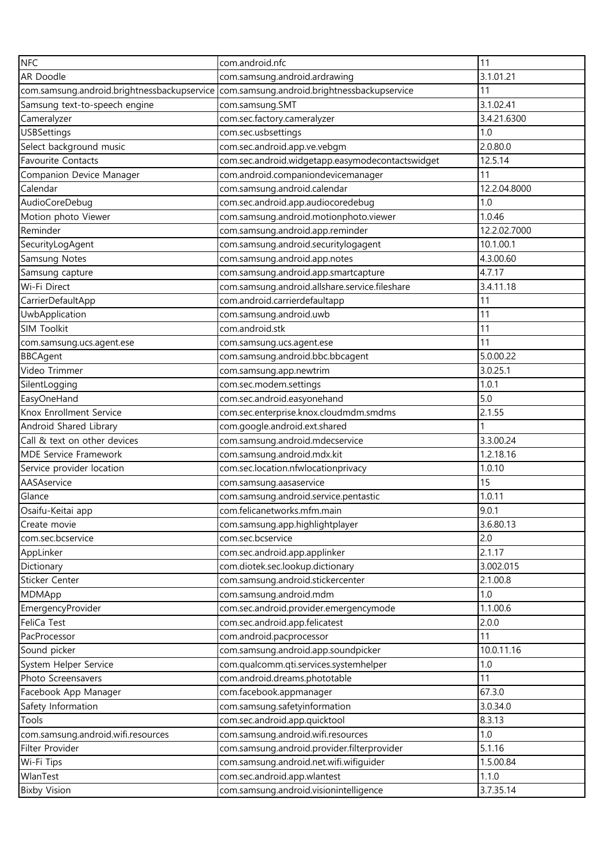| <b>NFC</b>                                  | com.android.nfc                                  | 11           |
|---------------------------------------------|--------------------------------------------------|--------------|
| AR Doodle                                   | com.samsung.android.ardrawing                    | 3.1.01.21    |
| com.samsung.android.brightnessbackupservice | com.samsung.android.brightnessbackupservice      | 11           |
| Samsung text-to-speech engine               | com.samsung.SMT                                  | 3.1.02.41    |
| Cameralyzer                                 | com.sec.factory.cameralyzer                      | 3.4.21.6300  |
| <b>USBSettings</b>                          | com.sec.usbsettings                              | 1.0          |
| Select background music                     | com.sec.android.app.ve.vebgm                     | 2.0.80.0     |
| <b>Favourite Contacts</b>                   | com.sec.android.widgetapp.easymodecontactswidget | 12.5.14      |
| Companion Device Manager                    | com.android.companiondevicemanager               | 11           |
| Calendar                                    | com.samsung.android.calendar                     | 12.2.04.8000 |
| AudioCoreDebug                              | com.sec.android.app.audiocoredebug               | 1.0          |
| Motion photo Viewer                         | com.samsung.android.motionphoto.viewer           | 1.0.46       |
| Reminder                                    | com.samsung.android.app.reminder                 | 12.2.02.7000 |
| SecurityLogAgent                            | com.samsung.android.securitylogagent             | 10.1.00.1    |
| Samsung Notes                               | com.samsung.android.app.notes                    | 4.3.00.60    |
| Samsung capture                             | com.samsung.android.app.smartcapture             | 4.7.17       |
| Wi-Fi Direct                                | com.samsung.android.allshare.service.fileshare   | 3.4.11.18    |
| CarrierDefaultApp                           | com.android.carrierdefaultapp                    | 11           |
| UwbApplication                              | com.samsung.android.uwb                          | 11           |
| <b>SIM Toolkit</b>                          | com.android.stk                                  | 11           |
| com.samsung.ucs.agent.ese                   | com.samsung.ucs.agent.ese                        | 11           |
| <b>BBCAgent</b>                             | com.samsung.android.bbc.bbcagent                 | 5.0.00.22    |
| Video Trimmer                               | com.samsung.app.newtrim                          | 3.0.25.1     |
| SilentLogging                               | com.sec.modem.settings                           | 1.0.1        |
| EasyOneHand                                 | com.sec.android.easyonehand                      | 5.0          |
| Knox Enrollment Service                     | com.sec.enterprise.knox.cloudmdm.smdms           | 2.1.55       |
| Android Shared Library                      | com.google.android.ext.shared                    |              |
| Call & text on other devices                | com.samsung.android.mdecservice                  | 3.3.00.24    |
| <b>MDE Service Framework</b>                | com.samsung.android.mdx.kit                      | 1.2.18.16    |
| Service provider location                   | com.sec.location.nfwlocationprivacy              | 1.0.10       |
| AASAservice                                 | com.samsung.aasaservice                          | 15           |
| Glance                                      | com.samsung.android.service.pentastic            | 1.0.11       |
| Osaifu-Keitai app                           | com.felicanetworks.mfm.main                      | 9.0.1        |
| Create movie                                | com.samsung.app.highlightplayer                  | 3.6.80.13    |
| com.sec.bcservice                           | com.sec.bcservice                                | 2.0          |
| AppLinker                                   | com.sec.android.app.applinker                    | 2.1.17       |
| Dictionary                                  | com.diotek.sec.lookup.dictionary                 | 3.002.015    |
| Sticker Center                              | com.samsung.android.stickercenter                | 2.1.00.8     |
| MDMApp                                      | com.samsung.android.mdm                          | 1.0          |
| EmergencyProvider                           | com.sec.android.provider.emergencymode           | 1.1.00.6     |
| FeliCa Test                                 | com.sec.android.app.felicatest                   | 2.0.0        |
| PacProcessor                                | com.android.pacprocessor                         | 11           |
| Sound picker                                | com.samsung.android.app.soundpicker              | 10.0.11.16   |
| System Helper Service                       | com.qualcomm.qti.services.systemhelper           | 1.0          |
| Photo Screensavers                          | com.android.dreams.phototable                    | 11           |
| Facebook App Manager                        | com.facebook.appmanager                          | 67.3.0       |
| Safety Information                          | com.samsung.safetyinformation                    | 3.0.34.0     |
| Tools                                       | com.sec.android.app.quicktool                    | 8.3.13       |
| com.samsung.android.wifi.resources          | com.samsung.android.wifi.resources               | 1.0          |
| Filter Provider                             | com.samsung.android.provider.filterprovider      | 5.1.16       |
| Wi-Fi Tips                                  | com.samsung.android.net.wifi.wifiguider          | 1.5.00.84    |
| WlanTest                                    | com.sec.android.app.wlantest                     | 1.1.0        |
| <b>Bixby Vision</b>                         | com.samsung.android.visionintelligence           | 3.7.35.14    |
|                                             |                                                  |              |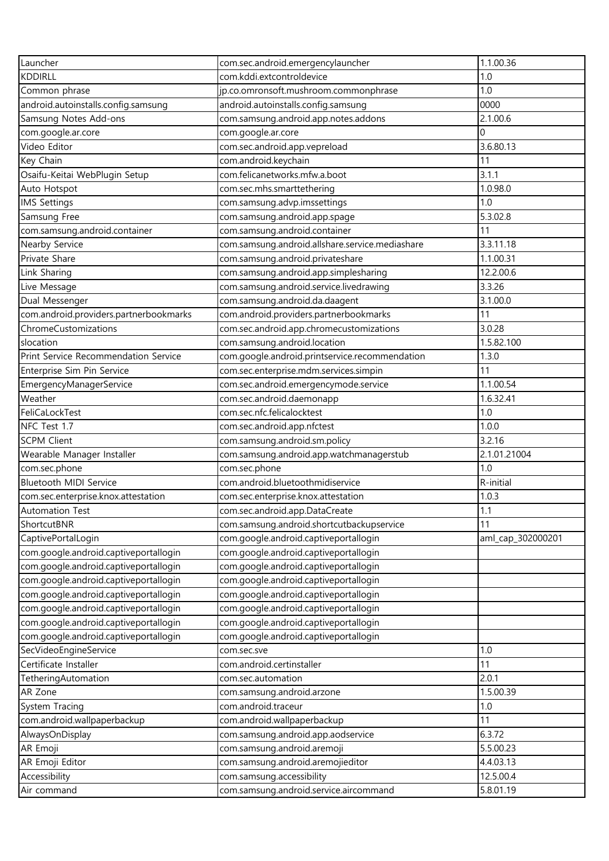| Launcher                               | com.sec.android.emergencylauncher               | 1.1.00.36         |
|----------------------------------------|-------------------------------------------------|-------------------|
| <b>KDDIRLL</b>                         | com.kddi.extcontroldevice                       | 1.0               |
| Common phrase                          | jp.co.omronsoft.mushroom.commonphrase           | 1.0               |
| android.autoinstalls.config.samsung    | android.autoinstalls.config.samsung             | 0000              |
| Samsung Notes Add-ons                  | com.samsung.android.app.notes.addons            | 2.1.00.6          |
| com.google.ar.core                     | com.google.ar.core                              | $\Omega$          |
| Video Editor                           | com.sec.android.app.vepreload                   | 3.6.80.13         |
| Key Chain                              | com.android.keychain                            | 11                |
| Osaifu-Keitai WebPlugin Setup          | com.felicanetworks.mfw.a.boot                   | 3.1.1             |
| Auto Hotspot                           | com.sec.mhs.smarttethering                      | 1.0.98.0          |
| <b>IMS Settings</b>                    | com.samsung.advp.imssettings                    | 1.0               |
| Samsung Free                           | com.samsung.android.app.spage                   | 5.3.02.8          |
| com.samsung.android.container          | com.samsung.android.container                   | 11                |
| Nearby Service                         | com.samsung.android.allshare.service.mediashare | 3.3.11.18         |
| Private Share                          | com.samsung.android.privateshare                | 1.1.00.31         |
| Link Sharing                           | com.samsung.android.app.simplesharing           | 12.2.00.6         |
| Live Message                           | com.samsung.android.service.livedrawing         | 3.3.26            |
| Dual Messenger                         | com.samsung.android.da.daagent                  | 3.1.00.0          |
| com.android.providers.partnerbookmarks | com.android.providers.partnerbookmarks          | 11                |
| ChromeCustomizations                   | com.sec.android.app.chromecustomizations        | 3.0.28            |
| slocation                              | com.samsung.android.location                    | 1.5.82.100        |
| Print Service Recommendation Service   | com.google.android.printservice.recommendation  | 1.3.0             |
| Enterprise Sim Pin Service             | com.sec.enterprise.mdm.services.simpin          | 11                |
| EmergencyManagerService                | com.sec.android.emergencymode.service           | 1.1.00.54         |
| Weather                                | com.sec.android.daemonapp                       | 1.6.32.41         |
| FeliCaLockTest                         | com.sec.nfc.felicalocktest                      | 1.0               |
| NFC Test 1.7                           | com.sec.android.app.nfctest                     | 1.0.0             |
| <b>SCPM Client</b>                     | com.samsung.android.sm.policy                   | 3.2.16            |
| Wearable Manager Installer             | com.samsung.android.app.watchmanagerstub        | 2.1.01.21004      |
| com.sec.phone                          | com.sec.phone                                   | 1.0               |
| <b>Bluetooth MIDI Service</b>          | com.android.bluetoothmidiservice                | R-initial         |
| com.sec.enterprise.knox.attestation    | com.sec.enterprise.knox.attestation             | 1.0.3             |
| <b>Automation Test</b>                 | com.sec.android.app.DataCreate                  | 1.1               |
| ShortcutBNR                            | com.samsung.android.shortcutbackupservice       | 11                |
| CaptivePortalLogin                     | com.google.android.captiveportallogin           | aml_cap_302000201 |
| com.google.android.captiveportallogin  | com.google.android.captiveportallogin           |                   |
| com.google.android.captiveportallogin  | com.google.android.captiveportallogin           |                   |
| com.google.android.captiveportallogin  | com.google.android.captiveportallogin           |                   |
| com.google.android.captiveportallogin  | com.google.android.captiveportallogin           |                   |
| com.google.android.captiveportallogin  | com.google.android.captiveportallogin           |                   |
| com.google.android.captiveportallogin  | com.google.android.captiveportallogin           |                   |
| com.google.android.captiveportallogin  | com.google.android.captiveportallogin           |                   |
| SecVideoEngineService                  | com.sec.sve                                     | 1.0               |
| Certificate Installer                  | com.android.certinstaller                       | 11                |
| TetheringAutomation                    | com.sec.automation                              | 2.0.1             |
| AR Zone                                | com.samsung.android.arzone                      | 1.5.00.39         |
| System Tracing                         | com.android.traceur                             | 1.0               |
| com.android.wallpaperbackup            | com.android.wallpaperbackup                     | 11                |
| AlwaysOnDisplay                        | com.samsung.android.app.aodservice              | 6.3.72            |
| AR Emoji                               | com.samsung.android.aremoji                     | 5.5.00.23         |
| AR Emoji Editor                        | com.samsung.android.aremojieditor               | 4.4.03.13         |
| Accessibility                          | com.samsung.accessibility                       | 12.5.00.4         |
| Air command                            | com.samsung.android.service.aircommand          | 5.8.01.19         |
|                                        |                                                 |                   |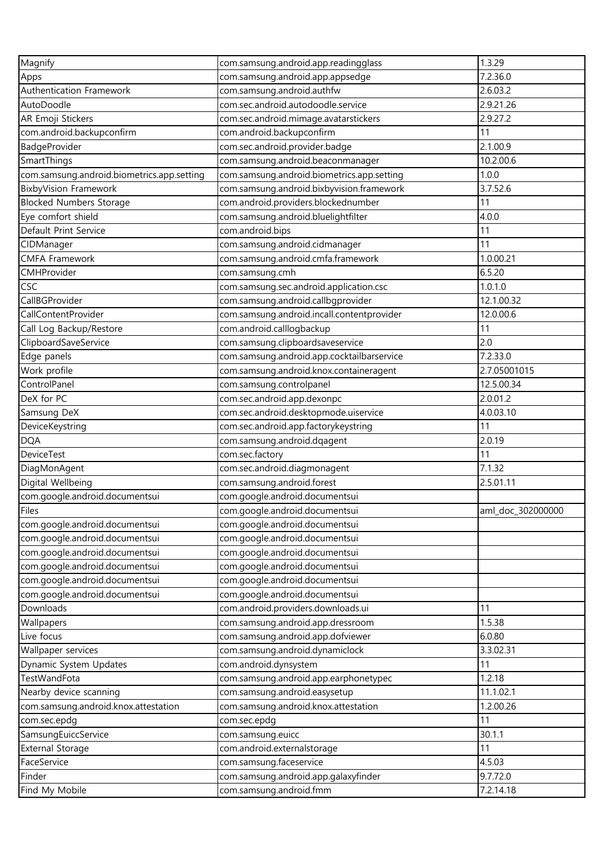| Magnify                                    | com.samsung.android.app.readingglass       | 1.3.29            |
|--------------------------------------------|--------------------------------------------|-------------------|
| Apps                                       | com.samsung.android.app.appsedge           | 7.2.36.0          |
| Authentication Framework                   | com.samsung.android.authfw                 | 2.6.03.2          |
| AutoDoodle                                 | com.sec.android.autodoodle.service         | 2.9.21.26         |
| AR Emoji Stickers                          | com.sec.android.mimage.avatarstickers      | 2.9.27.2          |
| com.android.backupconfirm                  | com.android.backupconfirm                  | 11                |
| BadgeProvider                              | com.sec.android.provider.badge             | 2.1.00.9          |
| SmartThings                                | com.samsung.android.beaconmanager          | 10.2.00.6         |
| com.samsung.android.biometrics.app.setting | com.samsung.android.biometrics.app.setting | 1.0.0             |
| <b>BixbyVision Framework</b>               | com.samsung.android.bixbyvision.framework  | 3.7.52.6          |
| <b>Blocked Numbers Storage</b>             | com.android.providers.blockednumber        | 11                |
| Eye comfort shield                         | com.samsung.android.bluelightfilter        | 4.0.0             |
| Default Print Service                      | com.android.bips                           | 11                |
| CIDManager                                 | com.samsung.android.cidmanager             | 11                |
| <b>CMFA Framework</b>                      | com.samsung.android.cmfa.framework         | 1.0.00.21         |
| CMHProvider                                | com.samsung.cmh                            | 6.5.20            |
| CSC                                        | com.samsung.sec.android.application.csc    | 1.0.1.0           |
| CallBGProvider                             | com.samsung.android.callbgprovider         | 12.1.00.32        |
| CallContentProvider                        | com.samsung.android.incall.contentprovider | 12.0.00.6         |
| Call Log Backup/Restore                    | com.android.calllogbackup                  | 11                |
| ClipboardSaveService                       | com.samsung.clipboardsaveservice           | 2.0               |
| Edge panels                                | com.samsung.android.app.cocktailbarservice | 7.2.33.0          |
| Work profile                               | com.samsung.android.knox.containeragent    | 2.7.05001015      |
| ControlPanel                               | com.samsung.controlpanel                   | 12.5.00.34        |
| DeX for PC                                 | com.sec.android.app.dexonpc                | 2.0.01.2          |
| Samsung DeX                                | com.sec.android.desktopmode.uiservice      | 4.0.03.10         |
| DeviceKeystring                            | com.sec.android.app.factorykeystring       | 11                |
| <b>DQA</b>                                 | com.samsung.android.dqagent                | 2.0.19            |
| <b>DeviceTest</b>                          | com.sec.factory                            | 11                |
|                                            |                                            | 7.1.32            |
| DiagMonAgent                               | com.sec.android.diagmonagent               |                   |
| Digital Wellbeing                          | com.samsung.android.forest                 | 2.5.01.11         |
| com.google.android.documentsui             | com.google.android.documentsui             |                   |
| <b>Files</b>                               | com.google.android.documentsui             | aml_doc_302000000 |
| com.google.android.documentsui             | com.google.android.documentsui             |                   |
| com.google.android.documentsui             | com.google.android.documentsui             |                   |
| com.google.android.documentsui             | com.google.android.documentsui             |                   |
| com.google.android.documentsui             | com.google.android.documentsui             |                   |
| com.google.android.documentsui             | com.google.android.documentsui             |                   |
| com.google.android.documentsui             | com.google.android.documentsui             |                   |
| Downloads                                  | com.android.providers.downloads.ui         | 11                |
| Wallpapers                                 | com.samsung.android.app.dressroom          | 1.5.38            |
| Live focus                                 | com.samsung.android.app.dofviewer          | 6.0.80            |
| Wallpaper services                         | com.samsung.android.dynamiclock            | 3.3.02.31         |
| Dynamic System Updates                     | com.android.dynsystem                      | 11                |
| TestWandFota                               | com.samsung.android.app.earphonetypec      | 1.2.18            |
| Nearby device scanning                     | com.samsung.android.easysetup              | 11.1.02.1         |
| com.samsung.android.knox.attestation       | com.samsung.android.knox.attestation       | 1.2.00.26         |
| com.sec.epdg                               | com.sec.epdg                               | 11                |
| SamsungEuiccService                        | com.samsung.euicc                          | 30.1.1            |
| <b>External Storage</b>                    | com.android.externalstorage                | 11                |
| FaceService                                | com.samsung.faceservice                    | 4.5.03            |
| Finder                                     | com.samsung.android.app.galaxyfinder       | 9.7.72.0          |
| Find My Mobile                             | com.samsung.android.fmm                    | 7.2.14.18         |
|                                            |                                            |                   |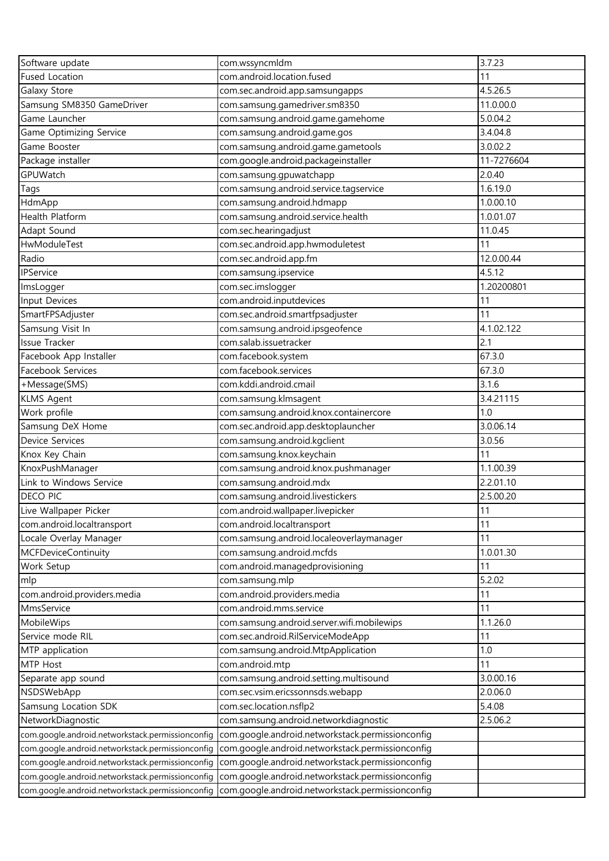| Software update                                  | com.wssyncmldm                                                                                    | 3.7.23     |
|--------------------------------------------------|---------------------------------------------------------------------------------------------------|------------|
| <b>Fused Location</b>                            | com.android.location.fused                                                                        | 11         |
| Galaxy Store                                     | com.sec.android.app.samsungapps                                                                   | 4.5.26.5   |
| Samsung SM8350 GameDriver                        | com.samsung.gamedriver.sm8350                                                                     | 11.0.00.0  |
| Game Launcher                                    | com.samsung.android.game.gamehome                                                                 | 5.0.04.2   |
| Game Optimizing Service                          | com.samsung.android.game.gos                                                                      | 3.4.04.8   |
| Game Booster                                     | com.samsung.android.game.gametools                                                                | 3.0.02.2   |
| Package installer                                | com.google.android.packageinstaller                                                               | 11-7276604 |
| GPUWatch                                         | com.samsung.gpuwatchapp                                                                           | 2.0.40     |
| Tags                                             | com.samsung.android.service.tagservice                                                            | 1.6.19.0   |
| HdmApp                                           | com.samsung.android.hdmapp                                                                        | 1.0.00.10  |
| <b>Health Platform</b>                           | com.samsung.android.service.health                                                                | 1.0.01.07  |
| Adapt Sound                                      | com.sec.hearingadjust                                                                             | 11.0.45    |
| HwModuleTest                                     | com.sec.android.app.hwmoduletest                                                                  | 11         |
| Radio                                            | com.sec.android.app.fm                                                                            | 12.0.00.44 |
| <b>IPService</b>                                 | com.samsung.ipservice                                                                             | 4.5.12     |
| ImsLogger                                        | com.sec.imslogger                                                                                 | 1.20200801 |
| Input Devices                                    | com.android.inputdevices                                                                          | 11         |
| SmartFPSAdjuster                                 | com.sec.android.smartfpsadjuster                                                                  | 11         |
| Samsung Visit In                                 | com.samsung.android.ipsgeofence                                                                   | 4.1.02.122 |
| <b>Issue Tracker</b>                             | com.salab.issuetracker                                                                            | 2.1        |
| Facebook App Installer                           | com.facebook.system                                                                               | 67.3.0     |
| Facebook Services                                | com.facebook.services                                                                             | 67.3.0     |
| +Message(SMS)                                    | com.kddi.android.cmail                                                                            | 3.1.6      |
| <b>KLMS Agent</b>                                | com.samsung.klmsagent                                                                             | 3.4.21115  |
| Work profile                                     | com.samsung.android.knox.containercore                                                            | 1.0        |
| Samsung DeX Home                                 | com.sec.android.app.desktoplauncher                                                               | 3.0.06.14  |
| <b>Device Services</b>                           | com.samsung.android.kgclient                                                                      | 3.0.56     |
| Knox Key Chain                                   | com.samsung.knox.keychain                                                                         | 11         |
| KnoxPushManager                                  | com.samsung.android.knox.pushmanager                                                              | 1.1.00.39  |
| Link to Windows Service                          | com.samsung.android.mdx                                                                           | 2.2.01.10  |
| <b>DECO PIC</b>                                  | com.samsung.android.livestickers                                                                  | 2.5.00.20  |
| Live Wallpaper Picker                            | com.android.wallpaper.livepicker                                                                  | 11         |
| com.android.localtransport                       | com.android.localtransport                                                                        | 11         |
| Locale Overlay Manager                           | com.samsung.android.localeoverlaymanager                                                          | 11         |
| <b>MCFDeviceContinuity</b>                       |                                                                                                   | 1.0.01.30  |
| Work Setup                                       | com.samsung.android.mcfds<br>com.android.managedprovisioning                                      | 11         |
|                                                  |                                                                                                   | 5.2.02     |
| mlp                                              | com.samsung.mlp<br>com.android.providers.media                                                    | 11         |
| com.android.providers.media<br>MmsService        | com.android.mms.service                                                                           | 11         |
| MobileWips                                       |                                                                                                   | 1.1.26.0   |
|                                                  | com.samsung.android.server.wifi.mobilewips                                                        | 11         |
| Service mode RIL                                 | com.sec.android.RilServiceModeApp                                                                 |            |
| MTP application                                  | com.samsung.android.MtpApplication                                                                | 1.0        |
| MTP Host                                         | com.android.mtp                                                                                   | 11         |
| Separate app sound                               | com.samsung.android.setting.multisound                                                            | 3.0.00.16  |
| NSDSWebApp                                       | com.sec.vsim.ericssonnsds.webapp                                                                  | 2.0.06.0   |
| Samsung Location SDK                             | com.sec.location.nsflp2                                                                           | 5.4.08     |
| NetworkDiagnostic                                | com.samsung.android.networkdiagnostic                                                             | 2.5.06.2   |
| com.google.android.networkstack.permissionconfig | com.google.android.networkstack.permissionconfig                                                  |            |
| com.google.android.networkstack.permissionconfig | com.google.android.networkstack.permissionconfig                                                  |            |
| com.google.android.networkstack.permissionconfig | com.google.android.networkstack.permissionconfig                                                  |            |
| com.google.android.networkstack.permissionconfig | com.google.android.networkstack.permissionconfig                                                  |            |
|                                                  | com.google.android.networkstack.permissionconfig com.google.android.networkstack.permissionconfig |            |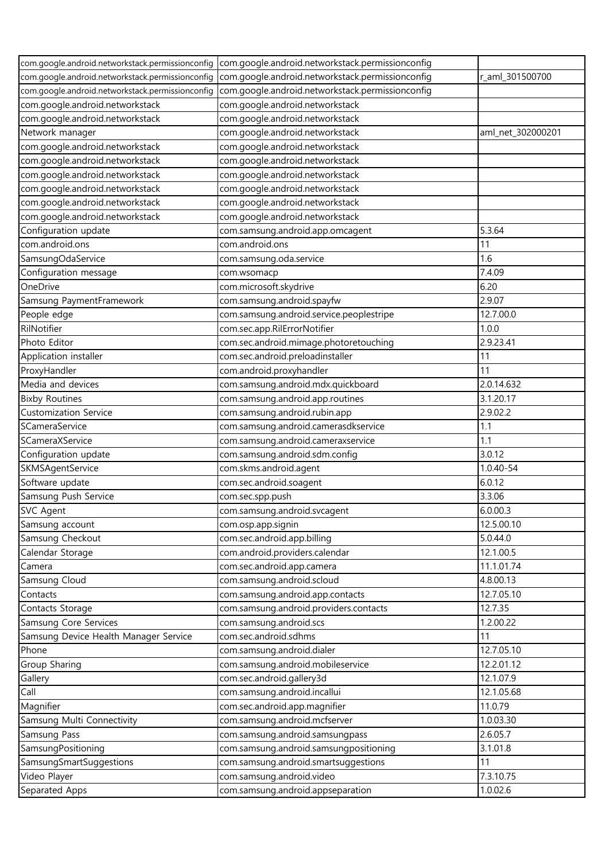|                                                  | com.google.android.networkstack.permissionconfig com.google.android.networkstack.permissionconfig |                   |
|--------------------------------------------------|---------------------------------------------------------------------------------------------------|-------------------|
| com.google.android.networkstack.permissionconfig | com.google.android.networkstack.permissionconfig                                                  | r_aml_301500700   |
| com.google.android.networkstack.permissionconfig | com.google.android.networkstack.permissionconfig                                                  |                   |
| com.google.android.networkstack                  | com.google.android.networkstack                                                                   |                   |
| com.google.android.networkstack                  | com.google.android.networkstack                                                                   |                   |
| Network manager                                  | com.google.android.networkstack                                                                   | aml_net_302000201 |
| com.google.android.networkstack                  | com.google.android.networkstack                                                                   |                   |
| com.google.android.networkstack                  | com.google.android.networkstack                                                                   |                   |
| com.google.android.networkstack                  | com.google.android.networkstack                                                                   |                   |
| com.google.android.networkstack                  | com.google.android.networkstack                                                                   |                   |
| com.google.android.networkstack                  | com.google.android.networkstack                                                                   |                   |
| com.google.android.networkstack                  | com.google.android.networkstack                                                                   |                   |
| Configuration update                             | com.samsung.android.app.omcagent                                                                  | 5.3.64            |
| com.android.ons                                  | com.android.ons                                                                                   | 11                |
| SamsungOdaService                                | com.samsung.oda.service                                                                           | 1.6               |
| Configuration message                            | com.wsomacp                                                                                       | 7.4.09            |
| OneDrive                                         | com.microsoft.skydrive                                                                            | 6.20              |
| Samsung PaymentFramework                         | com.samsung.android.spayfw                                                                        | 2.9.07            |
| People edge                                      | com.samsung.android.service.peoplestripe                                                          | 12.7.00.0         |
| RilNotifier                                      | com.sec.app.RilErrorNotifier                                                                      | 1.0.0             |
| Photo Editor                                     | com.sec.android.mimage.photoretouching                                                            | 2.9.23.41         |
| Application installer                            | com.sec.android.preloadinstaller                                                                  | 11                |
| ProxyHandler                                     | com.android.proxyhandler                                                                          | 11                |
| Media and devices                                | com.samsung.android.mdx.quickboard                                                                | 2.0.14.632        |
| <b>Bixby Routines</b>                            | com.samsung.android.app.routines                                                                  | 3.1.20.17         |
| <b>Customization Service</b>                     | com.samsung.android.rubin.app                                                                     | 2.9.02.2          |
| SCameraService                                   | com.samsung.android.camerasdkservice                                                              | 1.1               |
| SCameraXService                                  | com.samsung.android.cameraxservice                                                                | 1.1               |
| Configuration update                             | com.samsung.android.sdm.config                                                                    | 3.0.12            |
| SKMSAgentService                                 | com.skms.android.agent                                                                            | 1.0.40-54         |
| Software update                                  | com.sec.android.soagent                                                                           | 6.0.12            |
| Samsung Push Service                             | com.sec.spp.push                                                                                  | 3.3.06            |
| <b>SVC Agent</b>                                 | com.samsung.android.svcagent                                                                      | 6.0.00.3          |
| Samsung account                                  | com.osp.app.signin                                                                                | 12.5.00.10        |
| Samsung Checkout                                 | com.sec.android.app.billing                                                                       | 5.0.44.0          |
| Calendar Storage                                 | com.android.providers.calendar                                                                    | 12.1.00.5         |
| Camera                                           | com.sec.android.app.camera                                                                        | 11.1.01.74        |
| Samsung Cloud                                    | com.samsung.android.scloud                                                                        | 4.8.00.13         |
| Contacts                                         | com.samsung.android.app.contacts                                                                  | 12.7.05.10        |
| Contacts Storage                                 | com.samsung.android.providers.contacts                                                            | 12.7.35           |
| Samsung Core Services                            | com.samsung.android.scs                                                                           | 1.2.00.22         |
| Samsung Device Health Manager Service            | com.sec.android.sdhms                                                                             | 11                |
| Phone                                            | com.samsung.android.dialer                                                                        | 12.7.05.10        |
| Group Sharing                                    | com.samsung.android.mobileservice                                                                 | 12.2.01.12        |
| Gallery                                          | com.sec.android.gallery3d                                                                         | 12.1.07.9         |
| Call                                             | com.samsung.android.incallui                                                                      | 12.1.05.68        |
| Magnifier                                        | com.sec.android.app.magnifier                                                                     | 11.0.79           |
| Samsung Multi Connectivity                       | com.samsung.android.mcfserver                                                                     | 1.0.03.30         |
| Samsung Pass                                     | com.samsung.android.samsungpass                                                                   | 2.6.05.7          |
| SamsungPositioning                               | com.samsung.android.samsungpositioning                                                            | 3.1.01.8          |
| SamsungSmartSuggestions                          | com.samsung.android.smartsuggestions                                                              | 11                |
| Video Player                                     | com.samsung.android.video                                                                         | 7.3.10.75         |
| Separated Apps                                   | com.samsung.android.appseparation                                                                 | 1.0.02.6          |
|                                                  |                                                                                                   |                   |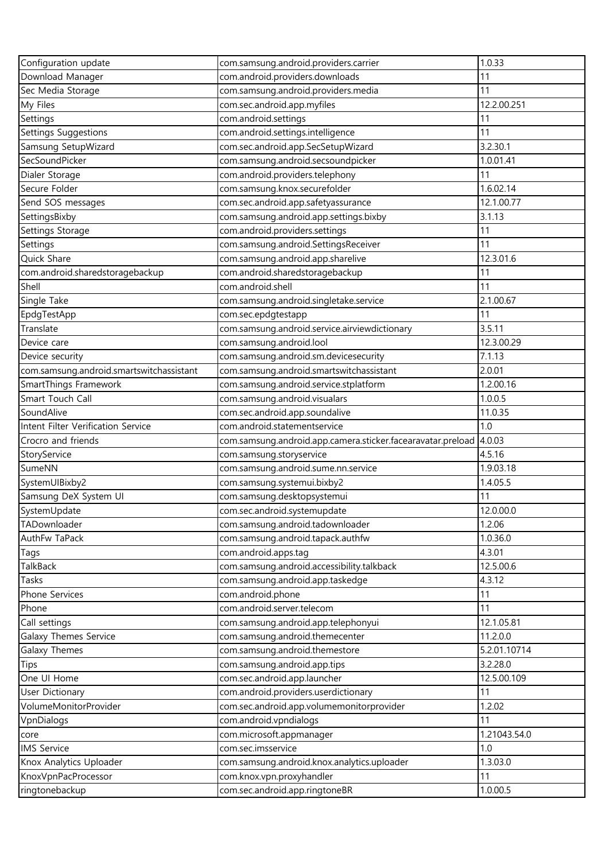| Configuration update                           | com.samsung.android.providers.carrier                                    | 1.0.33       |
|------------------------------------------------|--------------------------------------------------------------------------|--------------|
| Download Manager                               | com.android.providers.downloads                                          | 11           |
| Sec Media Storage                              | com.samsung.android.providers.media                                      | 11           |
| My Files                                       | com.sec.android.app.myfiles                                              | 12.2.00.251  |
| Settings                                       | com.android.settings                                                     | 11           |
| Settings Suggestions                           | com.android.settings.intelligence                                        | 11           |
| Samsung SetupWizard                            | com.sec.android.app.SecSetupWizard                                       | 3.2.30.1     |
| SecSoundPicker                                 | com.samsung.android.secsoundpicker                                       | 1.0.01.41    |
| Dialer Storage                                 | com.android.providers.telephony                                          | 11           |
| Secure Folder                                  | com.samsung.knox.securefolder                                            | 1.6.02.14    |
| Send SOS messages                              | com.sec.android.app.safetyassurance                                      | 12.1.00.77   |
| SettingsBixby                                  | com.samsung.android.app.settings.bixby                                   | 3.1.13       |
| Settings Storage                               | com.android.providers.settings                                           | 11           |
| Settings                                       | com.samsung.android.SettingsReceiver                                     | 11           |
| Quick Share                                    | com.samsung.android.app.sharelive                                        | 12.3.01.6    |
| com.android.sharedstoragebackup                | com.android.sharedstoragebackup                                          | 11           |
| Shell                                          | com.android.shell                                                        | 11           |
| Single Take                                    | com.samsung.android.singletake.service                                   | 2.1.00.67    |
| EpdgTestApp                                    | com.sec.epdgtestapp                                                      | 11           |
| Translate                                      | com.samsung.android.service.airviewdictionary                            | 3.5.11       |
| Device care                                    | com.samsung.android.lool                                                 | 12.3.00.29   |
| Device security                                | com.samsung.android.sm.devicesecurity                                    | 7.1.13       |
| com.samsung.android.smartswitchassistant       | com.samsung.android.smartswitchassistant                                 | 2.0.01       |
| SmartThings Framework                          | com.samsung.android.service.stplatform                                   | 1.2.00.16    |
| Smart Touch Call                               | com.samsung.android.visualars                                            | 1.0.0.5      |
| SoundAlive                                     | com.sec.android.app.soundalive                                           | 11.0.35      |
| Intent Filter Verification Service             | com.android.statementservice                                             | 1.0          |
| Crocro and friends                             | com.samsung.android.app.camera.sticker.facearavatar.preload              | 4.0.03       |
| StoryService                                   | com.samsung.storyservice                                                 | 4.5.16       |
| SumeNN                                         | com.samsung.android.sume.nn.service                                      | 1.9.03.18    |
| SystemUIBixby2                                 | com.samsung.systemui.bixby2                                              | 1.4.05.5     |
| Samsung DeX System UI                          | com.samsung.desktopsystemui                                              | 11           |
| SystemUpdate                                   | com.sec.android.systemupdate                                             | 12.0.00.0    |
| TADownloader                                   | com.samsung.android.tadownloader                                         | 1.2.06       |
| AuthFw TaPack                                  | com.samsung.android.tapack.authfw                                        | 1.0.36.0     |
| Tags                                           | com.android.apps.tag                                                     | 4.3.01       |
| TalkBack                                       | com.samsung.android.accessibility.talkback                               | 12.5.00.6    |
| Tasks                                          | com.samsung.android.app.taskedge                                         | 4.3.12       |
| <b>Phone Services</b>                          | com.android.phone                                                        | 11           |
| Phone                                          | com.android.server.telecom                                               | 11           |
| Call settings                                  | com.samsung.android.app.telephonyui                                      | 12.1.05.81   |
| Galaxy Themes Service                          | com.samsung.android.themecenter                                          | 11.2.0.0     |
| Galaxy Themes                                  | com.samsung.android.themestore                                           | 5.2.01.10714 |
| <b>Tips</b>                                    | com.samsung.android.app.tips                                             | 3.2.28.0     |
| One UI Home                                    | com.sec.android.app.launcher                                             | 12.5.00.109  |
| <b>User Dictionary</b>                         | com.android.providers.userdictionary                                     | 11           |
| VolumeMonitorProvider                          | com.sec.android.app.volumemonitorprovider                                | 1.2.02       |
| VpnDialogs                                     | com.android.vpndialogs                                                   | 11           |
|                                                | com.microsoft.appmanager                                                 | 1.21043.54.0 |
| core<br><b>IMS Service</b>                     | com.sec.imsservice                                                       | 1.0          |
|                                                |                                                                          | 1.3.03.0     |
| Knox Analytics Uploader<br>KnoxVpnPacProcessor | com.samsung.android.knox.analytics.uploader<br>com.knox.vpn.proxyhandler | 11           |
|                                                |                                                                          |              |
| ringtonebackup                                 | com.sec.android.app.ringtoneBR                                           | 1.0.00.5     |